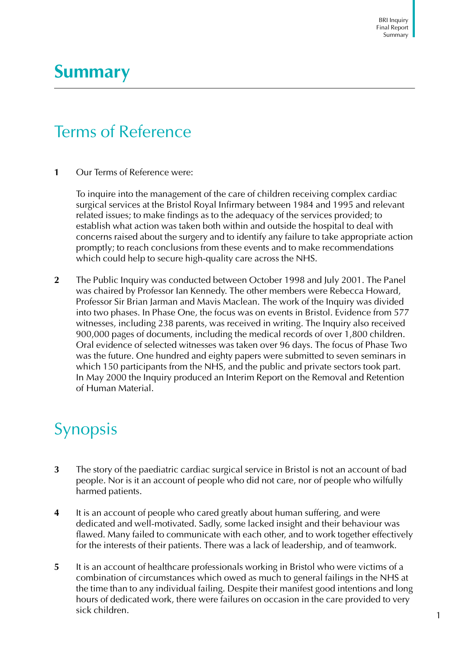# **Summary**

## Terms of Reference

**1** Our Terms of Reference were:

To inquire into the management of the care of children receiving complex cardiac surgical services at the Bristol Royal Infirmary between 1984 and 1995 and relevant related issues; to make findings as to the adequacy of the services provided; to establish what action was taken both within and outside the hospital to deal with concerns raised about the surgery and to identify any failure to take appropriate action promptly; to reach conclusions from these events and to make recommendations which could help to secure high-quality care across the NHS.

**2** The Public Inquiry was conducted between October 1998 and July 2001. The Panel was chaired by Professor Ian Kennedy. The other members were Rebecca Howard, Professor Sir Brian Jarman and Mavis Maclean. The work of the Inquiry was divided into two phases. In Phase One, the focus was on events in Bristol. Evidence from 577 witnesses, including 238 parents, was received in writing. The Inquiry also received 900,000 pages of documents, including the medical records of over 1,800 children. Oral evidence of selected witnesses was taken over 96 days. The focus of Phase Two was the future. One hundred and eighty papers were submitted to seven seminars in which 150 participants from the NHS, and the public and private sectors took part. In May 2000 the Inquiry produced an Interim Report on the Removal and Retention of Human Material.

### Synopsis

- **3** The story of the paediatric cardiac surgical service in Bristol is not an account of bad people. Nor is it an account of people who did not care, nor of people who wilfully harmed patients.
- **4** It is an account of people who cared greatly about human suffering, and were dedicated and well-motivated. Sadly, some lacked insight and their behaviour was flawed. Many failed to communicate with each other, and to work together effectively for the interests of their patients. There was a lack of leadership, and of teamwork.
- **5** It is an account of healthcare professionals working in Bristol who were victims of a combination of circumstances which owed as much to general failings in the NHS at the time than to any individual failing. Despite their manifest good intentions and long hours of dedicated work, there were failures on occasion in the care provided to very sick children.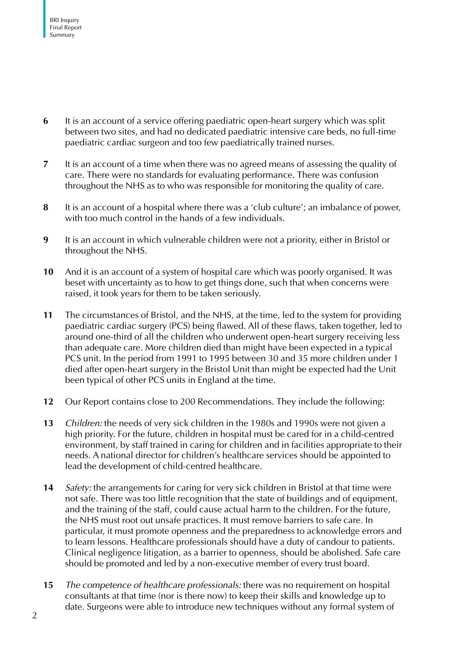- **6** It is an account of a service offering paediatric open-heart surgery which was split between two sites, and had no dedicated paediatric intensive care beds, no full-time paediatric cardiac surgeon and too few paediatrically trained nurses.
- **7** It is an account of a time when there was no agreed means of assessing the quality of care. There were no standards for evaluating performance. There was confusion throughout the NHS as to who was responsible for monitoring the quality of care.
- **8** It is an account of a hospital where there was a 'club culture'; an imbalance of power, with too much control in the hands of a few individuals.
- **9** It is an account in which vulnerable children were not a priority, either in Bristol or throughout the NHS.
- **10** And it is an account of a system of hospital care which was poorly organised. It was beset with uncertainty as to how to get things done, such that when concerns were raised, it took years for them to be taken seriously.
- **11** The circumstances of Bristol, and the NHS, at the time, led to the system for providing paediatric cardiac surgery (PCS) being flawed. All of these flaws, taken together, led to around one-third of all the children who underwent open-heart surgery receiving less than adequate care. More children died than might have been expected in a typical PCS unit. In the period from 1991 to 1995 between 30 and 35 more children under 1 died after open-heart surgery in the Bristol Unit than might be expected had the Unit been typical of other PCS units in England at the time.
- **12** Our Report contains close to 200 Recommendations. They include the following:
- **13** *Children:* the needs of very sick children in the 1980s and 1990s were not given a high priority. For the future, children in hospital must be cared for in a child-centred environment, by staff trained in caring for children and in facilities appropriate to their needs. A national director for children's healthcare services should be appointed to lead the development of child-centred healthcare.
- **14** *Safety:* the arrangements for caring for very sick children in Bristol at that time were not safe. There was too little recognition that the state of buildings and of equipment, and the training of the staff, could cause actual harm to the children. For the future, the NHS must root out unsafe practices. It must remove barriers to safe care. In particular, it must promote openness and the preparedness to acknowledge errors and to learn lessons. Healthcare professionals should have a duty of candour to patients. Clinical negligence litigation, as a barrier to openness, should be abolished. Safe care should be promoted and led by a non-executive member of every trust board.
- **15** *The competence of healthcare professionals:* there was no requirement on hospital consultants at that time (nor is there now) to keep their skills and knowledge up to date. Surgeons were able to introduce new techniques without any formal system of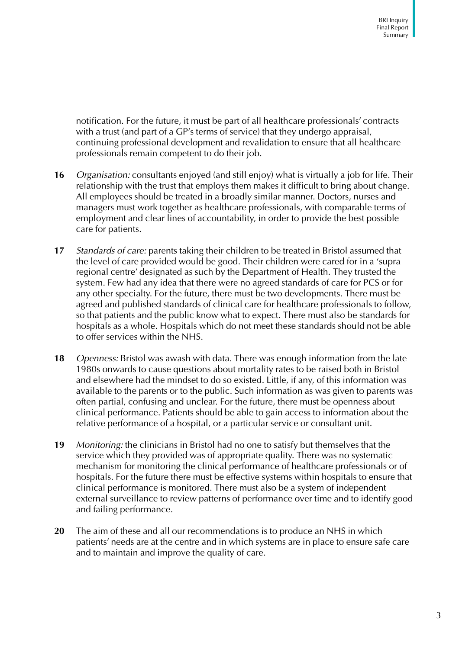notification. For the future, it must be part of all healthcare professionals' contracts with a trust (and part of a GP's terms of service) that they undergo appraisal, continuing professional development and revalidation to ensure that all healthcare professionals remain competent to do their job.

- **16** *Organisation:* consultants enjoyed (and still enjoy) what is virtually a job for life. Their relationship with the trust that employs them makes it difficult to bring about change. All employees should be treated in a broadly similar manner. Doctors, nurses and managers must work together as healthcare professionals, with comparable terms of employment and clear lines of accountability, in order to provide the best possible care for patients.
- **17** *Standards of care:* parents taking their children to be treated in Bristol assumed that the level of care provided would be good. Their children were cared for in a 'supra regional centre' designated as such by the Department of Health. They trusted the system. Few had any idea that there were no agreed standards of care for PCS or for any other specialty. For the future, there must be two developments. There must be agreed and published standards of clinical care for healthcare professionals to follow, so that patients and the public know what to expect. There must also be standards for hospitals as a whole. Hospitals which do not meet these standards should not be able to offer services within the NHS.
- **18** *Openness:* Bristol was awash with data. There was enough information from the late 1980s onwards to cause questions about mortality rates to be raised both in Bristol and elsewhere had the mindset to do so existed. Little, if any, of this information was available to the parents or to the public. Such information as was given to parents was often partial, confusing and unclear. For the future, there must be openness about clinical performance. Patients should be able to gain access to information about the relative performance of a hospital, or a particular service or consultant unit.
- **19** *Monitoring:* the clinicians in Bristol had no one to satisfy but themselves that the service which they provided was of appropriate quality. There was no systematic mechanism for monitoring the clinical performance of healthcare professionals or of hospitals. For the future there must be effective systems within hospitals to ensure that clinical performance is monitored. There must also be a system of independent external surveillance to review patterns of performance over time and to identify good and failing performance.
- **20** The aim of these and all our recommendations is to produce an NHS in which patients' needs are at the centre and in which systems are in place to ensure safe care and to maintain and improve the quality of care.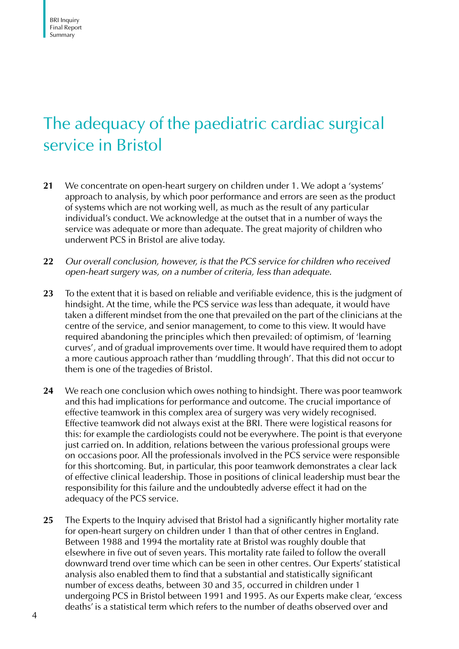## The adequacy of the paediatric cardiac surgical service in Bristol

- **21** We concentrate on open-heart surgery on children under 1. We adopt a 'systems' approach to analysis, by which poor performance and errors are seen as the product of systems which are not working well, as much as the result of any particular individual's conduct. We acknowledge at the outset that in a number of ways the service was adequate or more than adequate. The great majority of children who underwent PCS in Bristol are alive today.
- **22** *Our overall conclusion, however, is that the PCS service for children who received open-heart surgery was, on a number of criteria, less than adequate.*
- **23** To the extent that it is based on reliable and verifiable evidence, this is the judgment of hindsight. At the time, while the PCS service *was* less than adequate, it would have taken a different mindset from the one that prevailed on the part of the clinicians at the centre of the service, and senior management, to come to this view. It would have required abandoning the principles which then prevailed: of optimism, of 'learning curves', and of gradual improvements over time. It would have required them to adopt a more cautious approach rather than 'muddling through'. That this did not occur to them is one of the tragedies of Bristol.
- **24** We reach one conclusion which owes nothing to hindsight. There was poor teamwork and this had implications for performance and outcome. The crucial importance of effective teamwork in this complex area of surgery was very widely recognised. Effective teamwork did not always exist at the BRI. There were logistical reasons for this: for example the cardiologists could not be everywhere. The point is that everyone just carried on. In addition, relations between the various professional groups were on occasions poor. All the professionals involved in the PCS service were responsible for this shortcoming. But, in particular, this poor teamwork demonstrates a clear lack of effective clinical leadership. Those in positions of clinical leadership must bear the responsibility for this failure and the undoubtedly adverse effect it had on the adequacy of the PCS service.
- **25** The Experts to the Inquiry advised that Bristol had a significantly higher mortality rate for open-heart surgery on children under 1 than that of other centres in England. Between 1988 and 1994 the mortality rate at Bristol was roughly double that elsewhere in five out of seven years. This mortality rate failed to follow the overall downward trend over time which can be seen in other centres. Our Experts' statistical analysis also enabled them to find that a substantial and statistically significant number of excess deaths, between 30 and 35, occurred in children under 1 undergoing PCS in Bristol between 1991 and 1995. As our Experts make clear, 'excess deaths' is a statistical term which refers to the number of deaths observed over and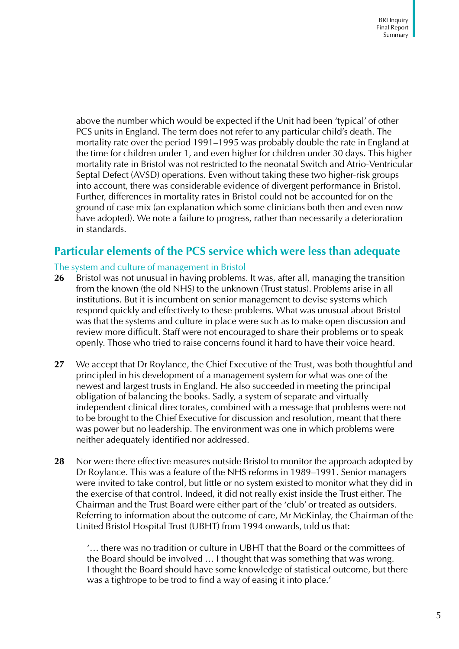above the number which would be expected if the Unit had been 'typical' of other PCS units in England. The term does not refer to any particular child's death. The mortality rate over the period 1991–1995 was probably double the rate in England at the time for children under 1, and even higher for children under 30 days. This higher mortality rate in Bristol was not restricted to the neonatal Switch and Atrio-Ventricular Septal Defect (AVSD) operations. Even without taking these two higher-risk groups into account, there was considerable evidence of divergent performance in Bristol. Further, differences in mortality rates in Bristol could not be accounted for on the ground of case mix (an explanation which some clinicians both then and even now have adopted). We note a failure to progress, rather than necessarily a deterioration in standards.

#### **Particular elements of the PCS service which were less than adequate**

#### The system and culture of management in Bristol

- **26** Bristol was not unusual in having problems. It was, after all, managing the transition from the known (the old NHS) to the unknown (Trust status). Problems arise in all institutions. But it is incumbent on senior management to devise systems which respond quickly and effectively to these problems. What was unusual about Bristol was that the systems and culture in place were such as to make open discussion and review more difficult. Staff were not encouraged to share their problems or to speak openly. Those who tried to raise concerns found it hard to have their voice heard.
- **27** We accept that Dr Roylance, the Chief Executive of the Trust, was both thoughtful and principled in his development of a management system for what was one of the newest and largest trusts in England. He also succeeded in meeting the principal obligation of balancing the books. Sadly, a system of separate and virtually independent clinical directorates, combined with a message that problems were not to be brought to the Chief Executive for discussion and resolution, meant that there was power but no leadership. The environment was one in which problems were neither adequately identified nor addressed.
- **28** Nor were there effective measures outside Bristol to monitor the approach adopted by Dr Roylance. This was a feature of the NHS reforms in 1989–1991. Senior managers were invited to take control, but little or no system existed to monitor what they did in the exercise of that control. Indeed, it did not really exist inside the Trust either. The Chairman and the Trust Board were either part of the 'club' or treated as outsiders. Referring to information about the outcome of care, Mr McKinlay, the Chairman of the United Bristol Hospital Trust (UBHT) from 1994 onwards, told us that:

'… there was no tradition or culture in UBHT that the Board or the committees of the Board should be involved … I thought that was something that was wrong. I thought the Board should have some knowledge of statistical outcome, but there was a tightrope to be trod to find a way of easing it into place.'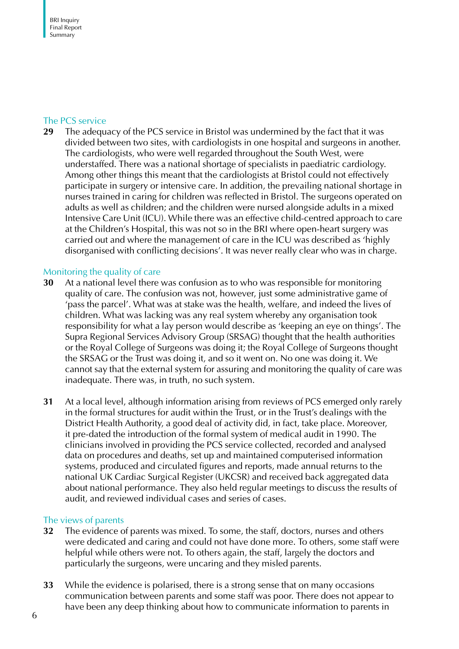#### The PCS service

**29** The adequacy of the PCS service in Bristol was undermined by the fact that it was divided between two sites, with cardiologists in one hospital and surgeons in another. The cardiologists, who were well regarded throughout the South West, were understaffed. There was a national shortage of specialists in paediatric cardiology. Among other things this meant that the cardiologists at Bristol could not effectively participate in surgery or intensive care. In addition, the prevailing national shortage in nurses trained in caring for children was reflected in Bristol. The surgeons operated on adults as well as children; and the children were nursed alongside adults in a mixed Intensive Care Unit (ICU). While there was an effective child-centred approach to care at the Children's Hospital, this was not so in the BRI where open-heart surgery was carried out and where the management of care in the ICU was described as 'highly disorganised with conflicting decisions'. It was never really clear who was in charge.

#### Monitoring the quality of care

- **30** At a national level there was confusion as to who was responsible for monitoring quality of care. The confusion was not, however, just some administrative game of 'pass the parcel'. What was at stake was the health, welfare, and indeed the lives of children. What was lacking was any real system whereby any organisation took responsibility for what a lay person would describe as 'keeping an eye on things'. The Supra Regional Services Advisory Group (SRSAG) thought that the health authorities or the Royal College of Surgeons was doing it; the Royal College of Surgeons thought the SRSAG or the Trust was doing it, and so it went on. No one was doing it. We cannot say that the external system for assuring and monitoring the quality of care was inadequate. There was, in truth, no such system.
- **31** At a local level, although information arising from reviews of PCS emerged only rarely in the formal structures for audit within the Trust, or in the Trust's dealings with the District Health Authority, a good deal of activity did, in fact, take place. Moreover, it pre-dated the introduction of the formal system of medical audit in 1990. The clinicians involved in providing the PCS service collected, recorded and analysed data on procedures and deaths, set up and maintained computerised information systems, produced and circulated figures and reports, made annual returns to the national UK Cardiac Surgical Register (UKCSR) and received back aggregated data about national performance. They also held regular meetings to discuss the results of audit, and reviewed individual cases and series of cases.

#### The views of parents

- **32** The evidence of parents was mixed. To some, the staff, doctors, nurses and others were dedicated and caring and could not have done more. To others, some staff were helpful while others were not. To others again, the staff, largely the doctors and particularly the surgeons, were uncaring and they misled parents.
- **33** While the evidence is polarised, there is a strong sense that on many occasions communication between parents and some staff was poor. There does not appear to have been any deep thinking about how to communicate information to parents in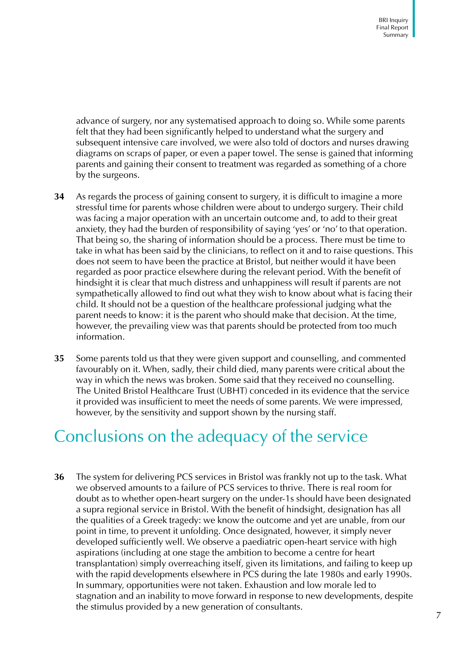advance of surgery, nor any systematised approach to doing so. While some parents felt that they had been significantly helped to understand what the surgery and subsequent intensive care involved, we were also told of doctors and nurses drawing diagrams on scraps of paper, or even a paper towel. The sense is gained that informing parents and gaining their consent to treatment was regarded as something of a chore by the surgeons.

- **34** As regards the process of gaining consent to surgery, it is difficult to imagine a more stressful time for parents whose children were about to undergo surgery. Their child was facing a major operation with an uncertain outcome and, to add to their great anxiety, they had the burden of responsibility of saying 'yes' or 'no' to that operation. That being so, the sharing of information should be a process. There must be time to take in what has been said by the clinicians, to reflect on it and to raise questions. This does not seem to have been the practice at Bristol, but neither would it have been regarded as poor practice elsewhere during the relevant period*.* With the benefit of hindsight it is clear that much distress and unhappiness will result if parents are not sympathetically allowed to find out what they wish to know about what is facing their child. It should not be a question of the healthcare professional judging what the parent needs to know: it is the parent who should make that decision. At the time, however, the prevailing view was that parents should be protected from too much information.
- **35** Some parents told us that they were given support and counselling, and commented favourably on it. When, sadly, their child died, many parents were critical about the way in which the news was broken. Some said that they received no counselling. The United Bristol Healthcare Trust (UBHT) conceded in its evidence that the service it provided was insufficient to meet the needs of some parents. We were impressed, however, by the sensitivity and support shown by the nursing staff.

### Conclusions on the adequacy of the service

**36** The system for delivering PCS services in Bristol was frankly not up to the task. What we observed amounts to a failure of PCS services to thrive. There is real room for doubt as to whether open-heart surgery on the under-1s should have been designated a supra regional service in Bristol. With the benefit of hindsight, designation has all the qualities of a Greek tragedy: we know the outcome and yet are unable, from our point in time, to prevent it unfolding. Once designated, however, it simply never developed sufficiently well. We observe a paediatric open-heart service with high aspirations (including at one stage the ambition to become a centre for heart transplantation) simply overreaching itself, given its limitations, and failing to keep up with the rapid developments elsewhere in PCS during the late 1980s and early 1990s. In summary, opportunities were not taken. Exhaustion and low morale led to stagnation and an inability to move forward in response to new developments, despite the stimulus provided by a new generation of consultants.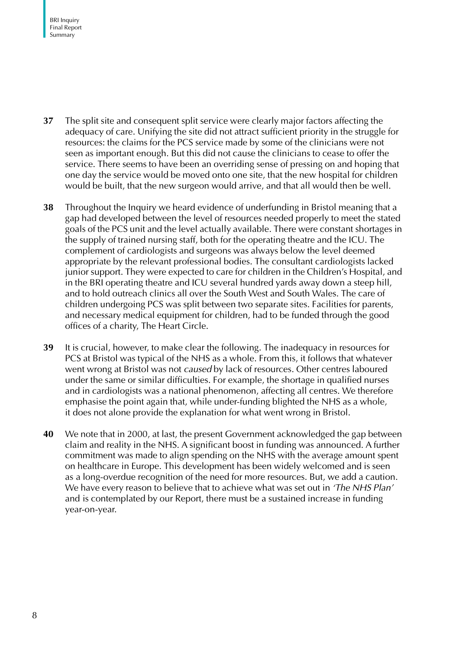- **37** The split site and consequent split service were clearly major factors affecting the adequacy of care. Unifying the site did not attract sufficient priority in the struggle for resources: the claims for the PCS service made by some of the clinicians were not seen as important enough. But this did not cause the clinicians to cease to offer the service. There seems to have been an overriding sense of pressing on and hoping that one day the service would be moved onto one site, that the new hospital for children would be built, that the new surgeon would arrive, and that all would then be well.
- **38** Throughout the Inquiry we heard evidence of underfunding in Bristol meaning that a gap had developed between the level of resources needed properly to meet the stated goals of the PCS unit and the level actually available. There were constant shortages in the supply of trained nursing staff, both for the operating theatre and the ICU. The complement of cardiologists and surgeons was always below the level deemed appropriate by the relevant professional bodies. The consultant cardiologists lacked junior support. They were expected to care for children in the Children's Hospital, and in the BRI operating theatre and ICU several hundred yards away down a steep hill, and to hold outreach clinics all over the South West and South Wales. The care of children undergoing PCS was split between two separate sites. Facilities for parents, and necessary medical equipment for children, had to be funded through the good offices of a charity, The Heart Circle.
- **39** It is crucial, however, to make clear the following. The inadequacy in resources for PCS at Bristol was typical of the NHS as a whole. From this, it follows that whatever went wrong at Bristol was not *caused* by lack of resources. Other centres laboured under the same or similar difficulties. For example, the shortage in qualified nurses and in cardiologists was a national phenomenon, affecting all centres. We therefore emphasise the point again that, while under-funding blighted the NHS as a whole, it does not alone provide the explanation for what went wrong in Bristol.
- **40** We note that in 2000, at last, the present Government acknowledged the gap between claim and reality in the NHS. A significant boost in funding was announced. A further commitment was made to align spending on the NHS with the average amount spent on healthcare in Europe. This development has been widely welcomed and is seen as a long-overdue recognition of the need for more resources. But, we add a caution. We have every reason to believe that to achieve what was set out in *'The NHS Plan'* and is contemplated by our Report, there must be a sustained increase in funding year-on-year.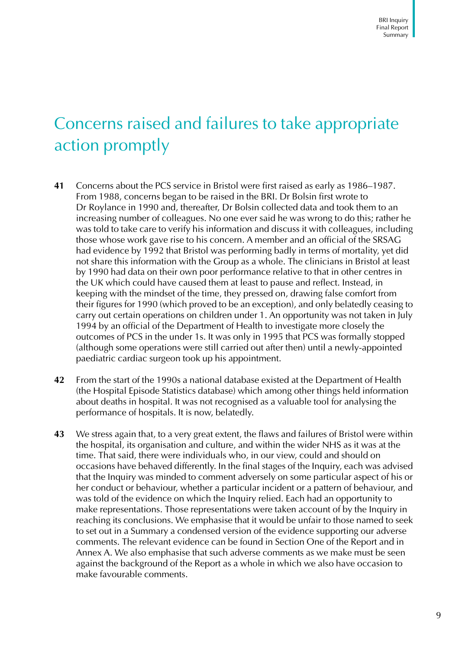## Concerns raised and failures to take appropriate action promptly

- **41** Concerns about the PCS service in Bristol were first raised as early as 1986–1987. From 1988, concerns began to be raised in the BRI. Dr Bolsin first wrote to Dr Roylance in 1990 and, thereafter, Dr Bolsin collected data and took them to an increasing number of colleagues. No one ever said he was wrong to do this; rather he was told to take care to verify his information and discuss it with colleagues, including those whose work gave rise to his concern. A member and an official of the SRSAG had evidence by 1992 that Bristol was performing badly in terms of mortality, yet did not share this information with the Group as a whole. The clinicians in Bristol at least by 1990 had data on their own poor performance relative to that in other centres in the UK which could have caused them at least to pause and reflect. Instead, in keeping with the mindset of the time, they pressed on, drawing false comfort from their figures for 1990 (which proved to be an exception), and only belatedly ceasing to carry out certain operations on children under 1. An opportunity was not taken in July 1994 by an official of the Department of Health to investigate more closely the outcomes of PCS in the under 1s. It was only in 1995 that PCS was formally stopped (although some operations were still carried out after then) until a newly-appointed paediatric cardiac surgeon took up his appointment.
- **42** From the start of the 1990s a national database existed at the Department of Health (the Hospital Episode Statistics database) which among other things held information about deaths in hospital. It was not recognised as a valuable tool for analysing the performance of hospitals. It is now, belatedly.
- **43** We stress again that, to a very great extent, the flaws and failures of Bristol were within the hospital, its organisation and culture, and within the wider NHS as it was at the time. That said, there were individuals who, in our view, could and should on occasions have behaved differently. In the final stages of the Inquiry, each was advised that the Inquiry was minded to comment adversely on some particular aspect of his or her conduct or behaviour, whether a particular incident or a pattern of behaviour, and was told of the evidence on which the Inquiry relied. Each had an opportunity to make representations. Those representations were taken account of by the Inquiry in reaching its conclusions. We emphasise that it would be unfair to those named to seek to set out in a Summary a condensed version of the evidence supporting our adverse comments. The relevant evidence can be found in Section One of the Report and in Annex A. We also emphasise that such adverse comments as we make must be seen against the background of the Report as a whole in which we also have occasion to make favourable comments.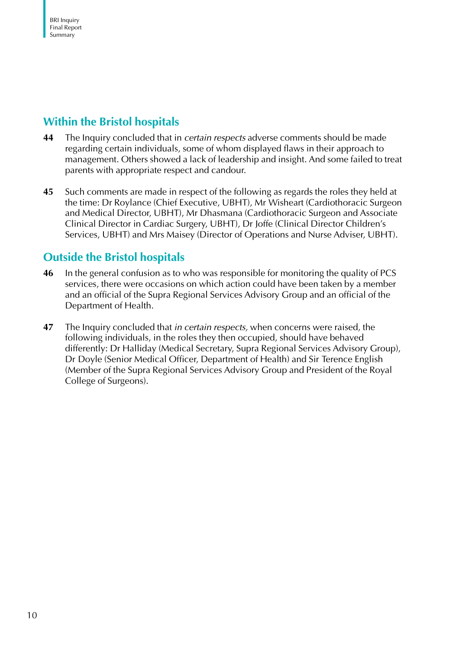### **Within the Bristol hospitals**

- **44** The Inquiry concluded that in *certain respects* adverse comments should be made regarding certain individuals, some of whom displayed flaws in their approach to management. Others showed a lack of leadership and insight. And some failed to treat parents with appropriate respect and candour.
- **45** Such comments are made in respect of the following as regards the roles they held at the time: Dr Roylance (Chief Executive, UBHT), Mr Wisheart (Cardiothoracic Surgeon and Medical Director, UBHT), Mr Dhasmana (Cardiothoracic Surgeon and Associate Clinical Director in Cardiac Surgery, UBHT), Dr Joffe (Clinical Director Children's Services, UBHT) and Mrs Maisey (Director of Operations and Nurse Adviser, UBHT).

### **Outside the Bristol hospitals**

- **46** In the general confusion as to who was responsible for monitoring the quality of PCS services, there were occasions on which action could have been taken by a member and an official of the Supra Regional Services Advisory Group and an official of the Department of Health.
- **47** The Inquiry concluded that *in certain respects,* when concerns were raised, the following individuals, in the roles they then occupied, should have behaved differently: Dr Halliday (Medical Secretary, Supra Regional Services Advisory Group), Dr Doyle (Senior Medical Officer, Department of Health) and Sir Terence English (Member of the Supra Regional Services Advisory Group and President of the Royal College of Surgeons).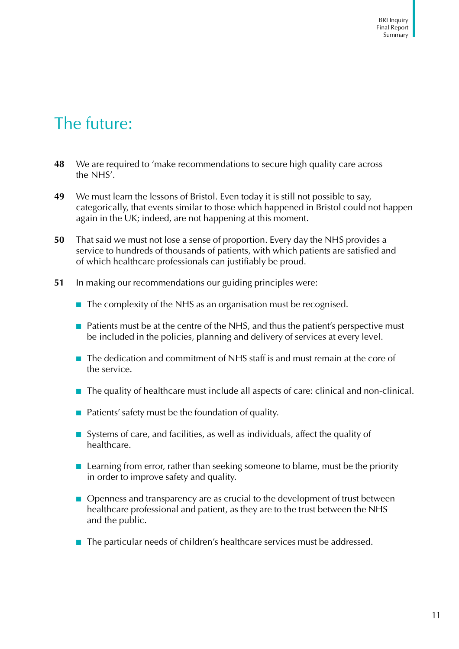### The future:

- **48** We are required to 'make recommendations to secure high quality care across the NHS'.
- **49** We must learn the lessons of Bristol. Even today it is still not possible to say, categorically, that events similar to those which happened in Bristol could not happen again in the UK; indeed, are not happening at this moment.
- **50** That said we must not lose a sense of proportion. Every day the NHS provides a service to hundreds of thousands of patients, with which patients are satisfied and of which healthcare professionals can justifiably be proud.
- **51** In making our recommendations our guiding principles were:
	- The complexity of the NHS as an organisation must be recognised.
	- Patients must be at the centre of the NHS, and thus the patient's perspective must be included in the policies, planning and delivery of services at every level.
	- The dedication and commitment of NHS staff is and must remain at the core of the service.
	- The quality of healthcare must include all aspects of care: clinical and non-clinical.
	- Patients' safety must be the foundation of quality.
	- Systems of care, and facilities, as well as individuals, affect the quality of healthcare.
	- **E** Learning from error, rather than seeking someone to blame, must be the priority in order to improve safety and quality.
	- Openness and transparency are as crucial to the development of trust between healthcare professional and patient, as they are to the trust between the NHS and the public.
	- The particular needs of children's healthcare services must be addressed.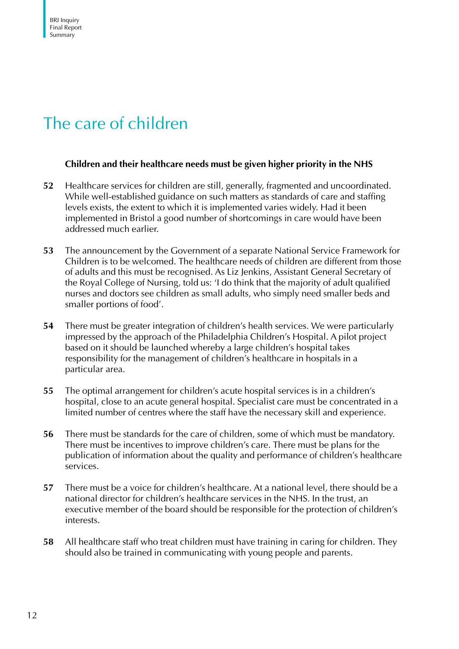#### BRI Inquiry Final Report Summary

## The care of children

#### **Children and their healthcare needs must be given higher priority in the NHS**

- **52** Healthcare services for children are still, generally, fragmented and uncoordinated. While well-established guidance on such matters as standards of care and staffing levels exists, the extent to which it is implemented varies widely. Had it been implemented in Bristol a good number of shortcomings in care would have been addressed much earlier.
- **53** The announcement by the Government of a separate National Service Framework for Children is to be welcomed. The healthcare needs of children are different from those of adults and this must be recognised. As Liz Jenkins, Assistant General Secretary of the Royal College of Nursing, told us: 'I do think that the majority of adult qualified nurses and doctors see children as small adults, who simply need smaller beds and smaller portions of food'.
- **54** There must be greater integration of children's health services. We were particularly impressed by the approach of the Philadelphia Children's Hospital. A pilot project based on it should be launched whereby a large children's hospital takes responsibility for the management of children's healthcare in hospitals in a particular area.
- **55** The optimal arrangement for children's acute hospital services is in a children's hospital, close to an acute general hospital. Specialist care must be concentrated in a limited number of centres where the staff have the necessary skill and experience.
- **56** There must be standards for the care of children, some of which must be mandatory. There must be incentives to improve children's care. There must be plans for the publication of information about the quality and performance of children's healthcare services.
- **57** There must be a voice for children's healthcare. At a national level, there should be a national director for children's healthcare services in the NHS. In the trust, an executive member of the board should be responsible for the protection of children's interests.
- **58** All healthcare staff who treat children must have training in caring for children. They should also be trained in communicating with young people and parents.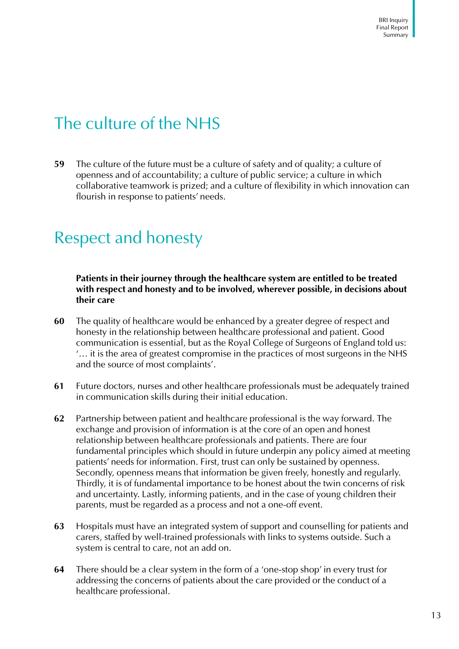## The culture of the NHS

**59** The culture of the future must be a culture of safety and of quality; a culture of openness and of accountability; a culture of public service; a culture in which collaborative teamwork is prized; and a culture of flexibility in which innovation can flourish in response to patients' needs.

### Respect and honesty

#### **Patients in their journey through the healthcare system are entitled to be treated with respect and honesty and to be involved, wherever possible, in decisions about their care**

- **60** The quality of healthcare would be enhanced by a greater degree of respect and honesty in the relationship between healthcare professional and patient. Good communication is essential, but as the Royal College of Surgeons of England told us: '… it is the area of greatest compromise in the practices of most surgeons in the NHS and the source of most complaints'.
- **61** Future doctors, nurses and other healthcare professionals must be adequately trained in communication skills during their initial education.
- **62** Partnership between patient and healthcare professional is the way forward. The exchange and provision of information is at the core of an open and honest relationship between healthcare professionals and patients. There are four fundamental principles which should in future underpin any policy aimed at meeting patients' needs for information. First, trust can only be sustained by openness. Secondly, openness means that information be given freely, honestly and regularly. Thirdly, it is of fundamental importance to be honest about the twin concerns of risk and uncertainty. Lastly, informing patients, and in the case of young children their parents, must be regarded as a process and not a one-off event.
- **63** Hospitals must have an integrated system of support and counselling for patients and carers, staffed by well-trained professionals with links to systems outside. Such a system is central to care, not an add on.
- **64** There should be a clear system in the form of a 'one-stop shop' in every trust for addressing the concerns of patients about the care provided or the conduct of a healthcare professional.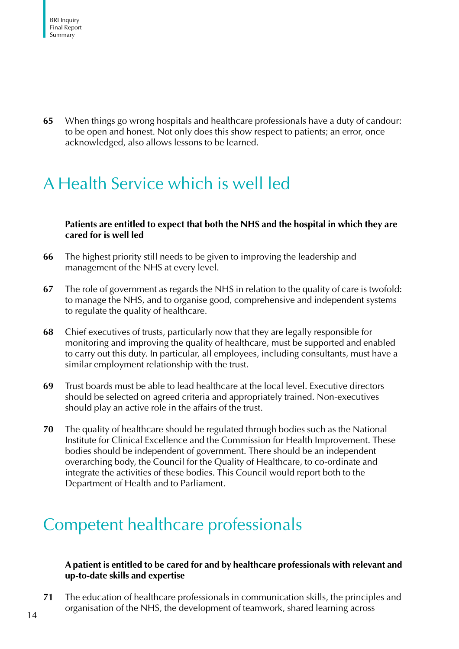**65** When things go wrong hospitals and healthcare professionals have a duty of candour: to be open and honest. Not only does this show respect to patients; an error, once acknowledged, also allows lessons to be learned.

## A Health Service which is well led

#### **Patients are entitled to expect that both the NHS and the hospital in which they are cared for is well led**

- **66** The highest priority still needs to be given to improving the leadership and management of the NHS at every level.
- **67** The role of government as regards the NHS in relation to the quality of care is twofold: to manage the NHS, and to organise good, comprehensive and independent systems to regulate the quality of healthcare.
- **68** Chief executives of trusts, particularly now that they are legally responsible for monitoring and improving the quality of healthcare, must be supported and enabled to carry out this duty. In particular, all employees, including consultants, must have a similar employment relationship with the trust.
- **69** Trust boards must be able to lead healthcare at the local level. Executive directors should be selected on agreed criteria and appropriately trained. Non-executives should play an active role in the affairs of the trust.
- **70** The quality of healthcare should be regulated through bodies such as the National Institute for Clinical Excellence and the Commission for Health Improvement. These bodies should be independent of government. There should be an independent overarching body, the Council for the Quality of Healthcare, to co-ordinate and integrate the activities of these bodies. This Council would report both to the Department of Health and to Parliament.

### Competent healthcare professionals

#### **A patient is entitled to be cared for and by healthcare professionals with relevant and up-to-date skills and expertise**

**71** The education of healthcare professionals in communication skills, the principles and organisation of the NHS, the development of teamwork, shared learning across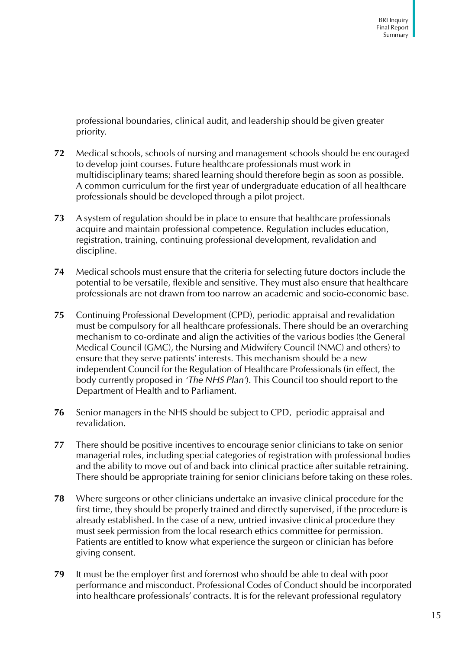professional boundaries, clinical audit, and leadership should be given greater priority.

- **72** Medical schools, schools of nursing and management schools should be encouraged to develop joint courses. Future healthcare professionals must work in multidisciplinary teams; shared learning should therefore begin as soon as possible. A common curriculum for the first year of undergraduate education of all healthcare professionals should be developed through a pilot project.
- **73** A system of regulation should be in place to ensure that healthcare professionals acquire and maintain professional competence. Regulation includes education, registration, training, continuing professional development, revalidation and discipline.
- **74** Medical schools must ensure that the criteria for selecting future doctors include the potential to be versatile, flexible and sensitive. They must also ensure that healthcare professionals are not drawn from too narrow an academic and socio-economic base.
- **75** Continuing Professional Development (CPD), periodic appraisal and revalidation must be compulsory for all healthcare professionals. There should be an overarching mechanism to co-ordinate and align the activities of the various bodies (the General Medical Council (GMC), the Nursing and Midwifery Council (NMC) and others) to ensure that they serve patients' interests. This mechanism should be a new independent Council for the Regulation of Healthcare Professionals (in effect, the body currently proposed in *'The NHS Plan'*). This Council too should report to the Department of Health and to Parliament.
- **76** Senior managers in the NHS should be subject to CPD, periodic appraisal and revalidation.
- **77** There should be positive incentives to encourage senior clinicians to take on senior managerial roles, including special categories of registration with professional bodies and the ability to move out of and back into clinical practice after suitable retraining. There should be appropriate training for senior clinicians before taking on these roles.
- **78** Where surgeons or other clinicians undertake an invasive clinical procedure for the first time, they should be properly trained and directly supervised, if the procedure is already established. In the case of a new, untried invasive clinical procedure they must seek permission from the local research ethics committee for permission. Patients are entitled to know what experience the surgeon or clinician has before giving consent.
- **79** It must be the employer first and foremost who should be able to deal with poor performance and misconduct. Professional Codes of Conduct should be incorporated into healthcare professionals' contracts. It is for the relevant professional regulatory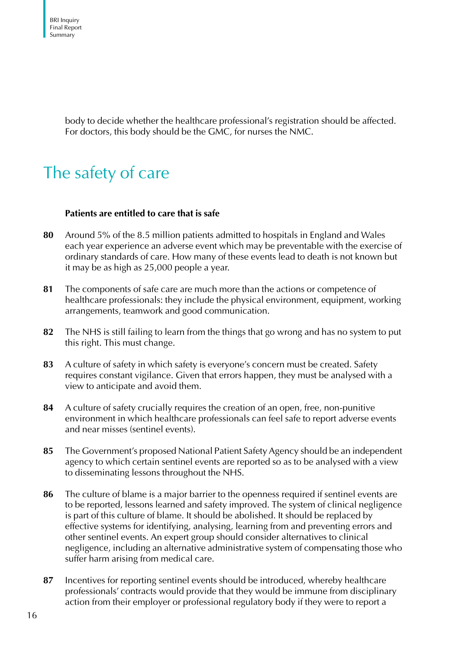body to decide whether the healthcare professional's registration should be affected. For doctors, this body should be the GMC, for nurses the NMC.

## The safety of care

#### **Patients are entitled to care that is safe**

- **80** Around 5% of the 8.5 million patients admitted to hospitals in England and Wales each year experience an adverse event which may be preventable with the exercise of ordinary standards of care. How many of these events lead to death is not known but it may be as high as 25,000 people a year.
- **81** The components of safe care are much more than the actions or competence of healthcare professionals: they include the physical environment, equipment, working arrangements, teamwork and good communication.
- **82** The NHS is still failing to learn from the things that go wrong and has no system to put this right. This must change.
- **83** A culture of safety in which safety is everyone's concern must be created. Safety requires constant vigilance. Given that errors happen, they must be analysed with a view to anticipate and avoid them.
- **84** A culture of safety crucially requires the creation of an open, free, non-punitive environment in which healthcare professionals can feel safe to report adverse events and near misses (sentinel events).
- **85** The Government's proposed National Patient Safety Agency should be an independent agency to which certain sentinel events are reported so as to be analysed with a view to disseminating lessons throughout the NHS.
- **86** The culture of blame is a major barrier to the openness required if sentinel events are to be reported, lessons learned and safety improved. The system of clinical negligence is part of this culture of blame. It should be abolished. It should be replaced by effective systems for identifying, analysing, learning from and preventing errors and other sentinel events. An expert group should consider alternatives to clinical negligence, including an alternative administrative system of compensating those who suffer harm arising from medical care.
- **87** Incentives for reporting sentinel events should be introduced, whereby healthcare professionals' contracts would provide that they would be immune from disciplinary action from their employer or professional regulatory body if they were to report a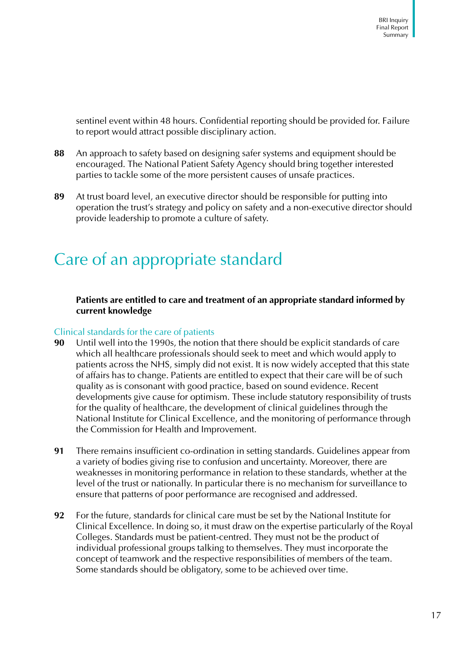sentinel event within 48 hours. Confidential reporting should be provided for. Failure to report would attract possible disciplinary action.

- **88** An approach to safety based on designing safer systems and equipment should be encouraged. The National Patient Safety Agency should bring together interested parties to tackle some of the more persistent causes of unsafe practices.
- **89** At trust board level, an executive director should be responsible for putting into operation the trust's strategy and policy on safety and a non-executive director should provide leadership to promote a culture of safety.

### Care of an appropriate standard

#### **Patients are entitled to care and treatment of an appropriate standard informed by current knowledge**

#### Clinical standards for the care of patients

- **90** Until well into the 1990s, the notion that there should be explicit standards of care which all healthcare professionals should seek to meet and which would apply to patients across the NHS, simply did not exist. It is now widely accepted that this state of affairs has to change. Patients are entitled to expect that their care will be of such quality as is consonant with good practice, based on sound evidence. Recent developments give cause for optimism. These include statutory responsibility of trusts for the quality of healthcare, the development of clinical guidelines through the National Institute for Clinical Excellence, and the monitoring of performance through the Commission for Health and Improvement.
- **91** There remains insufficient co-ordination in setting standards. Guidelines appear from a variety of bodies giving rise to confusion and uncertainty. Moreover, there are weaknesses in monitoring performance in relation to these standards, whether at the level of the trust or nationally. In particular there is no mechanism for surveillance to ensure that patterns of poor performance are recognised and addressed.
- **92** For the future, standards for clinical care must be set by the National Institute for Clinical Excellence. In doing so, it must draw on the expertise particularly of the Royal Colleges. Standards must be patient-centred. They must not be the product of individual professional groups talking to themselves. They must incorporate the concept of teamwork and the respective responsibilities of members of the team. Some standards should be obligatory, some to be achieved over time.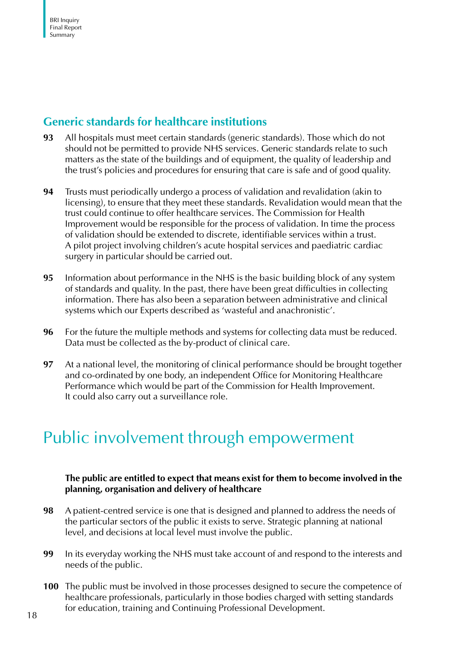#### **Generic standards for healthcare institutions**

- **93** All hospitals must meet certain standards (generic standards). Those which do not should not be permitted to provide NHS services. Generic standards relate to such matters as the state of the buildings and of equipment, the quality of leadership and the trust's policies and procedures for ensuring that care is safe and of good quality.
- **94** Trusts must periodically undergo a process of validation and revalidation (akin to licensing), to ensure that they meet these standards. Revalidation would mean that the trust could continue to offer healthcare services. The Commission for Health Improvement would be responsible for the process of validation. In time the process of validation should be extended to discrete, identifiable services within a trust. A pilot project involving children's acute hospital services and paediatric cardiac surgery in particular should be carried out.
- **95** Information about performance in the NHS is the basic building block of any system of standards and quality. In the past, there have been great difficulties in collecting information. There has also been a separation between administrative and clinical systems which our Experts described as 'wasteful and anachronistic'.
- **96** For the future the multiple methods and systems for collecting data must be reduced. Data must be collected as the by-product of clinical care.
- **97** At a national level, the monitoring of clinical performance should be brought together and co-ordinated by one body, an independent Office for Monitoring Healthcare Performance which would be part of the Commission for Health Improvement. It could also carry out a surveillance role.

## Public involvement through empowerment

#### **The public are entitled to expect that means exist for them to become involved in the planning, organisation and delivery of healthcare**

- **98** A patient-centred service is one that is designed and planned to address the needs of the particular sectors of the public it exists to serve. Strategic planning at national level, and decisions at local level must involve the public.
- **99** In its everyday working the NHS must take account of and respond to the interests and needs of the public.
- **100** The public must be involved in those processes designed to secure the competence of healthcare professionals, particularly in those bodies charged with setting standards for education, training and Continuing Professional Development.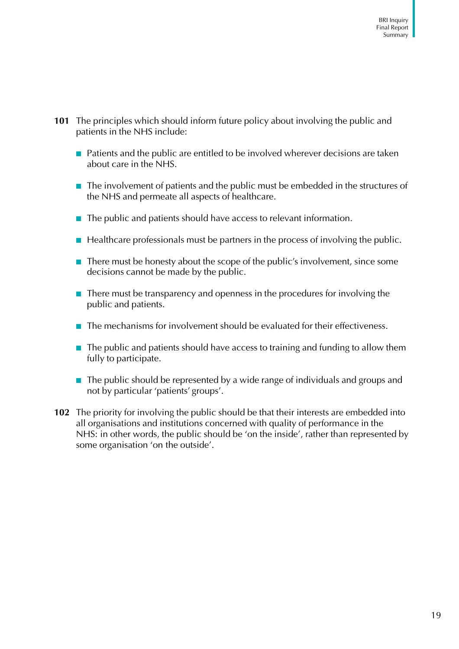- **101** The principles which should inform future policy about involving the public and patients in the NHS include:
	- Patients and the public are entitled to be involved wherever decisions are taken about care in the NHS.
	- The involvement of patients and the public must be embedded in the structures of the NHS and permeate all aspects of healthcare.
	- The public and patients should have access to relevant information.
	- $\blacksquare$  Healthcare professionals must be partners in the process of involving the public.
	- There must be honesty about the scope of the public's involvement, since some decisions cannot be made by the public.
	- There must be transparency and openness in the procedures for involving the public and patients.
	- The mechanisms for involvement should be evaluated for their effectiveness.
	- The public and patients should have access to training and funding to allow them fully to participate.
	- The public should be represented by a wide range of individuals and groups and not by particular 'patients' groups'.
- **102** The priority for involving the public should be that their interests are embedded into all organisations and institutions concerned with quality of performance in the NHS: in other words, the public should be 'on the inside', rather than represented by some organisation 'on the outside'.